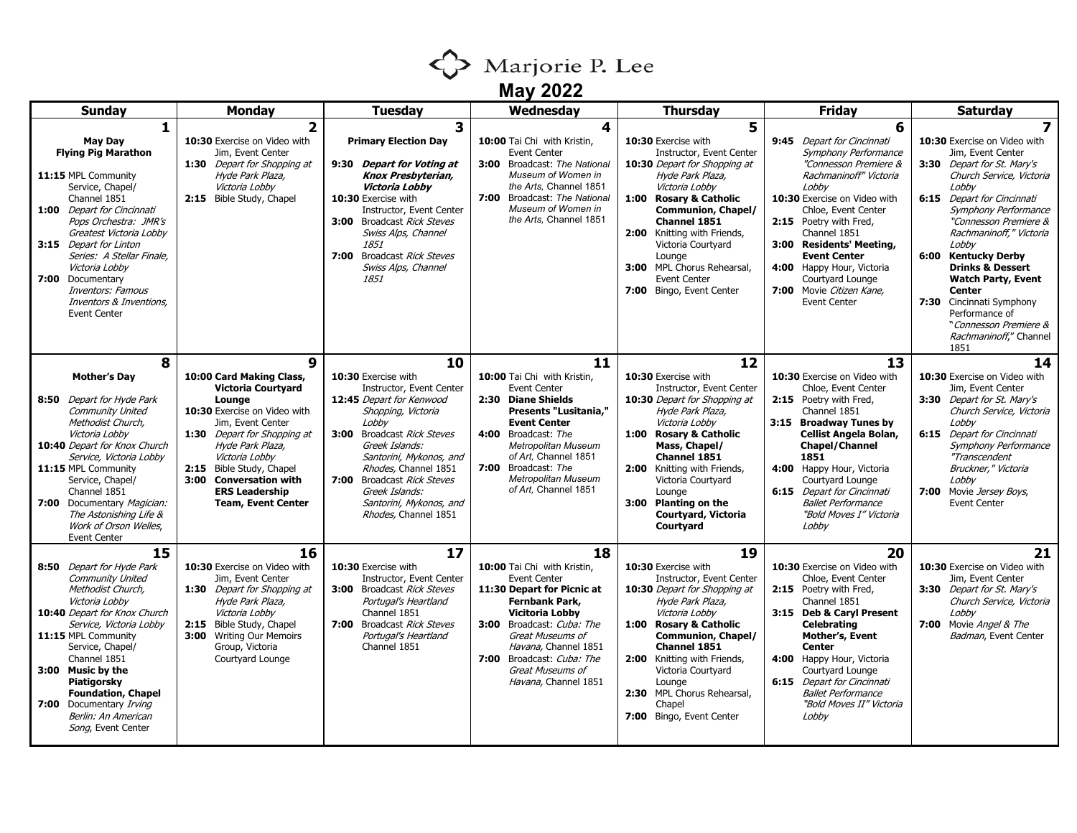

| <b>Sunday</b>                                                                                                                                                                                                                                                                                                                                                      | <b>Monday</b>                                                                                                                                                                                                                                                                                                     | Tuesday                                                                                                                                                                                                                                                                                                                | Wednesday                                                                                                                                                                                                                                                                                       | <b>Thursday</b>                                                                                                                                                                                                                                                                                                                                                 | <b>Friday</b>                                                                                                                                                                                                                                                                                                                                                               | <b>Saturday</b>                                                                                                                                                                                                                                                                                                                                                                                                                                                  |
|--------------------------------------------------------------------------------------------------------------------------------------------------------------------------------------------------------------------------------------------------------------------------------------------------------------------------------------------------------------------|-------------------------------------------------------------------------------------------------------------------------------------------------------------------------------------------------------------------------------------------------------------------------------------------------------------------|------------------------------------------------------------------------------------------------------------------------------------------------------------------------------------------------------------------------------------------------------------------------------------------------------------------------|-------------------------------------------------------------------------------------------------------------------------------------------------------------------------------------------------------------------------------------------------------------------------------------------------|-----------------------------------------------------------------------------------------------------------------------------------------------------------------------------------------------------------------------------------------------------------------------------------------------------------------------------------------------------------------|-----------------------------------------------------------------------------------------------------------------------------------------------------------------------------------------------------------------------------------------------------------------------------------------------------------------------------------------------------------------------------|------------------------------------------------------------------------------------------------------------------------------------------------------------------------------------------------------------------------------------------------------------------------------------------------------------------------------------------------------------------------------------------------------------------------------------------------------------------|
| 1<br><b>May Day</b><br><b>Flying Pig Marathon</b><br>11:15 MPL Community<br>Service, Chapel/<br>Channel 1851<br>1:00 Depart for Cincinnati<br>Pops Orchestra: JMR's<br>Greatest Victoria Lobby<br>3:15 Depart for Linton<br>Series: A Stellar Finale,<br>Victoria Lobby<br>7:00 Documentary<br>Inventors: Famous<br>Inventors & Inventions,<br><b>Event Center</b> | $\overline{2}$<br>10:30 Exercise on Video with<br>Jim, Event Center<br>1:30 Depart for Shopping at<br>Hyde Park Plaza,<br>Victoria Lobby<br>2:15 Bible Study, Chapel                                                                                                                                              | 3<br><b>Primary Election Day</b><br>9:30 Depart for Voting at<br>Knox Presbyterian,<br>Victoria Lobby<br>10:30 Exercise with<br>Instructor, Event Center<br>3:00 Broadcast Rick Steves<br>Swiss Alps, Channel<br>1851<br>7:00 Broadcast Rick Steves<br>Swiss Alps, Channel<br>1851                                     | 4<br>10:00 Tai Chi with Kristin,<br><b>Event Center</b><br><b>3:00</b> Broadcast: The National<br>Museum of Women in<br>the Arts. Channel 1851<br>7:00 Broadcast: The National<br>Museum of Women in<br>the Arts, Channel 1851                                                                  | 5<br>10:30 Exercise with<br>Instructor, Event Center<br>10:30 Depart for Shopping at<br>Hyde Park Plaza,<br>Victoria Lobby<br><b>Rosary &amp; Catholic</b><br>1:00<br><b>Communion, Chapel/</b><br>Channel 1851<br>2:00 Knitting with Friends,<br>Victoria Courtyard<br>Lounge<br>3:00 MPL Chorus Rehearsal,<br><b>Event Center</b><br>7:00 Bingo, Event Center | 6<br>9:45 Depart for Cincinnati<br>Symphony Performance<br>"Connesson Premiere &<br>Rachmaninoff" Victoria<br>Lobby<br>10:30 Exercise on Video with<br>Chloe, Event Center<br>2:15 Poetry with Fred,<br>Channel 1851<br>3:00 Residents' Meeting,<br><b>Event Center</b><br>4:00 Happy Hour, Victoria<br>Courtyard Lounge<br>7:00 Movie Citizen Kane,<br><b>Event Center</b> | 7<br>10:30 Exercise on Video with<br>Jim, Event Center<br>3:30 Depart for St. Mary's<br>Church Service, Victoria<br>Lobby<br>6:15 Depart for Cincinnati<br><b>Symphony Performance</b><br>"Connesson Premiere &<br>Rachmaninoff," Victoria<br>Lobby<br>6:00 Kentucky Derby<br><b>Drinks &amp; Dessert</b><br><b>Watch Party, Event</b><br><b>Center</b><br>7:30 Cincinnati Symphony<br>Performance of<br>"Connesson Premiere &<br>Rachmaninoff," Channel<br>1851 |
| 8<br><b>Mother's Dav</b><br>8:50 Depart for Hyde Park<br><b>Community United</b><br>Methodist Church,<br>Victoria Lobby<br>10:40 Depart for Knox Church<br>Service, Victoria Lobby<br>11:15 MPL Community<br>Service, Chapel/<br>Channel 1851<br>7:00 Documentary Magician:<br>The Astonishing Life &<br>Work of Orson Welles,<br><b>Event Center</b>              | 9<br>10:00 Card Making Class,<br><b>Victoria Courtyard</b><br>Lounge<br>10:30 Exercise on Video with<br>Jim, Event Center<br><b>1:30</b> Depart for Shopping at<br>Hyde Park Plaza,<br>Victoria Lobby<br>2:15 Bible Study, Chapel<br>3:00 Conversation with<br><b>ERS Leadership</b><br><b>Team, Event Center</b> | 10<br>10:30 Exercise with<br>Instructor, Event Center<br>12:45 Depart for Kenwood<br>Shopping, Victoria<br>Lobby<br>3:00 Broadcast Rick Steves<br>Greek Islands:<br>Santorini, Mykonos, and<br>Rhodes, Channel 1851<br>7:00 Broadcast Rick Steves<br>Greek Islands:<br>Santorini, Mykonos, and<br>Rhodes, Channel 1851 | 11<br>10:00 Tai Chi with Kristin,<br><b>Event Center</b><br>2:30 Diane Shields<br><b>Presents "Lusitania,"</b><br><b>Event Center</b><br>4:00 Broadcast: The<br><b>Metropolitan Museum</b><br>of Art, Channel 1851<br>7:00 Broadcast: The<br><b>Metropolitan Museum</b><br>of Art, Channel 1851 | 12<br>10:30 Exercise with<br>Instructor, Event Center<br>10:30 Depart for Shopping at<br>Hyde Park Plaza,<br>Victoria Lobby<br><b>Rosary &amp; Catholic</b><br>1:00<br>Mass, Chapel/<br>Channel 1851<br>Knitting with Friends,<br>2:00<br>Victoria Courtyard<br>Lounge<br><b>Planting on the</b><br>3:00<br>Courtyard, Victoria<br>Courtyard                    | 13<br>10:30 Exercise on Video with<br>Chloe, Event Center<br>2:15 Poetry with Fred,<br>Channel 1851<br>3:15 Broadway Tunes by<br>Cellist Angela Bolan,<br><b>Chapel/Channel</b><br>1851<br>4:00 Happy Hour, Victoria<br>Courtyard Lounge<br><b>6:15</b> Depart for Cincinnati<br><b>Ballet Performance</b><br>"Bold Moves I" Victoria<br>Lobby                              | 14<br>10:30 Exercise on Video with<br>Jim, Event Center<br>3:30 Depart for St. Mary's<br>Church Service, Victoria<br>Lobby<br>6:15 Depart for Cincinnati<br><b>Symphony Performance</b><br>"Transcendent<br>Bruckner," Victoria<br>Lobby<br>7:00 Movie Jersey Boys,<br><b>Event Center</b>                                                                                                                                                                       |
| 15<br>8:50 Depart for Hyde Park<br><b>Community United</b><br>Methodist Church,<br>Victoria Lobby<br>10:40 Depart for Knox Church<br>Service, Victoria Lobby<br>11:15 MPL Community<br>Service, Chapel/<br>Channel 1851<br>3:00 Music by the<br>Piatigorsky<br><b>Foundation, Chapel</b><br>7:00 Documentary Irving<br>Berlin: An American<br>Song, Event Center   | 16<br>10:30 Exercise on Video with<br>Jim, Event Center<br>1:30 Depart for Shopping at<br>Hyde Park Plaza,<br>Victoria Lobby<br>2:15 Bible Study, Chapel<br>3:00 Writing Our Memoirs<br>Group, Victoria<br>Courtyard Lounge                                                                                       | 17<br>10:30 Exercise with<br>Instructor, Event Center<br>3:00 Broadcast Rick Steves<br>Portugal's Heartland<br>Channel 1851<br>7:00 Broadcast Rick Steves<br>Portugal's Heartland<br>Channel 1851                                                                                                                      | 18<br>10:00 Tai Chi with Kristin,<br><b>Event Center</b><br>11:30 Depart for Picnic at<br><b>Fernbank Park,</b><br><b>Vicitoria Lobby</b><br>3:00 Broadcast: Cuba: The<br>Great Museums of<br>Havana, Channel 1851<br>7:00 Broadcast: Cuba: The<br>Great Museums of<br>Havana, Channel 1851     | 19<br>10:30 Exercise with<br>Instructor, Event Center<br>10:30 Depart for Shopping at<br>Hyde Park Plaza,<br>Victoria Lobby<br><b>Rosary &amp; Catholic</b><br>1:00<br><b>Communion, Chapel/</b><br>Channel 1851<br>2:00 Knitting with Friends,<br>Victoria Courtyard<br>Lounge<br>2:30 MPL Chorus Rehearsal,<br>Chapel<br>7:00 Bingo, Event Center             | 20<br>10:30 Exercise on Video with<br>Chloe, Event Center<br>2:15 Poetry with Fred,<br>Channel 1851<br>3:15 Deb & Caryl Present<br><b>Celebrating</b><br>Mother's, Event<br><b>Center</b><br>4:00 Happy Hour, Victoria<br>Courtyard Lounge<br><b>6:15</b> Depart for Cincinnati<br><b>Ballet Performance</b><br>"Bold Moves II" Victoria<br>Lobby                           | 21<br>10:30 Exercise on Video with<br>Jim, Event Center<br>3:30 Depart for St. Mary's<br>Church Service, Victoria<br>Lobby<br>7:00 Movie Angel & The<br>Badman, Event Center                                                                                                                                                                                                                                                                                     |